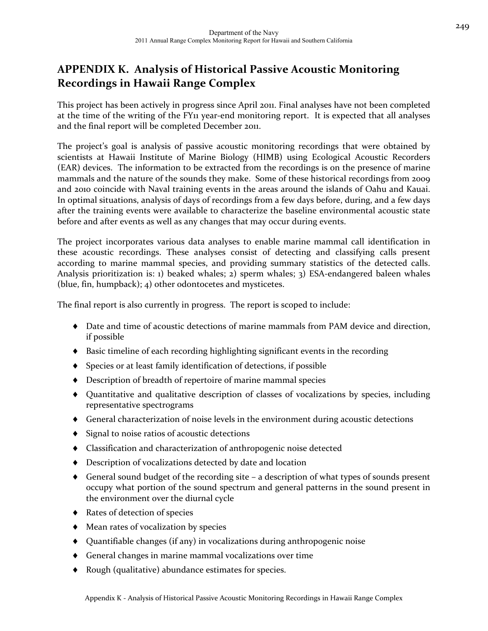This project has been actively in progress since April 2011. Final analyses have not been completed at the time of the writing of the FY<sub>11</sub> year-end monitoring report. It is expected that all analyses and the final report will be completed December 2011.

The project's goal is analysis of passive acoustic monitoring recordings that were obtained by scientists at Hawaii Institute of Marine Biology (HIMB) using Ecological Acoustic Recorders (EAR) devices. The information to be extracted from the recordings is on the presence of marine mammals and the nature of the sounds they make. Some of these historical recordings from 2009 and 2010 coincide with Naval training events in the areas around the islands of Oahu and Kauai. In optimal situations, analysis of days of recordings from a few days before, during, and a few days after the training events were available to characterize the baseline environmental acoustic state before and after events as well as any changes that may occur during events.

The project incorporates various data analyses to enable marine mammal call identification in these acoustic recordings. These analyses consist of detecting and classifying calls present according to marine mammal species, and providing summary statistics of the detected calls. Analysis prioritization is: 1) beaked whales; 2) sperm whales; 3) ESA-endangered baleen whales (blue, fin, humpback); 4) other odontocetes and mysticetes.

The final report is also currently in progress. The report is scoped to include:

- Date and time of acoustic detections of marine mammals from PAM device and direction, if possible
- $\blacklozenge$  Basic timeline of each recording highlighting significant events in the recording
- Species or at least family identification of detections, if possible
- Description of breadth of repertoire of marine mammal species
- Quantitative and qualitative description of classes of vocalizations by species, including representative spectrograms
- General characterization of noise levels in the environment during acoustic detections
- $\bullet$  Signal to noise ratios of acoustic detections
- Classification and characterization of anthropogenic noise detected
- Description of vocalizations detected by date and location
- $\bullet$  General sound budget of the recording site a description of what types of sounds present occupy what portion of the sound spectrum and general patterns in the sound present in the environment over the diurnal cycle
- ◆ Rates of detection of species
- Mean rates of vocalization by species
- Quantifiable changes (if any) in vocalizations during anthropogenic noise
- General changes in marine mammal vocalizations over time
- Rough (qualitative) abundance estimates for species.